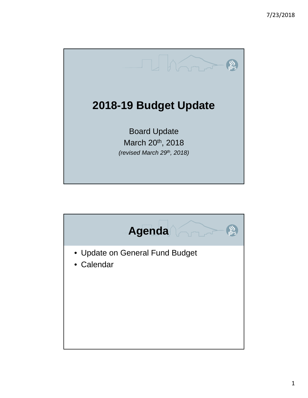

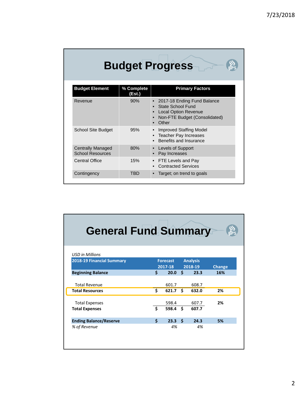|                                                     |                      | <b>Budget Progress</b>                                                                                                           |
|-----------------------------------------------------|----------------------|----------------------------------------------------------------------------------------------------------------------------------|
| <b>Budget Element</b>                               | % Complete<br>(Est.) | <b>Primary Factors</b>                                                                                                           |
| Revenue                                             | 90%                  | 2017-18 Ending Fund Balance<br><b>State School Fund</b><br><b>Local Option Revenue</b><br>Non-FTE Budget (Consolidated)<br>Other |
| <b>School Site Budget</b>                           | 95%                  | <b>Improved Staffing Model</b><br>Teacher Pay Increases<br>Benefits and Insurance                                                |
| <b>Centrally Managed</b><br><b>School Resources</b> | 80%                  | Levels of Support<br>Pay Increases                                                                                               |
| <b>Central Office</b>                               | 15%                  | FTE Levels and Pay<br><b>Contracted Services</b>                                                                                 |
| Contingency                                         | TBD                  | Target; on trend to goals                                                                                                        |

| <b>General Fund Summary</b>   |    |                            |      |                            |               |
|-------------------------------|----|----------------------------|------|----------------------------|---------------|
| <b>USD</b> in Millions        |    |                            |      |                            |               |
| 2018-19 Financial Summary     |    | <b>Forecast</b><br>2017-18 |      | <b>Analysis</b><br>2018-19 | <b>Change</b> |
| <b>Beginning Balance</b>      | Ś. | 20.0                       | - \$ | 23.3                       | 16%           |
| <b>Total Revenue</b>          |    | 601.7                      |      | 608.7                      |               |
| <b>Total Resources</b>        | \$ | 621.7                      | Ŝ.   | 632.0                      | 2%            |
| <b>Total Expenses</b>         |    | 598.4                      |      | 607.7                      | 2%            |
| <b>Total Expenses</b>         | Ś  | 598.4                      | Ŝ.   | 607.7                      |               |
| <b>Ending Balance/Reserve</b> | Ś  | 23.3                       | Ŝ.   | 24.3                       | 5%            |
| % of Revenue                  |    | 4%                         |      | 4%                         |               |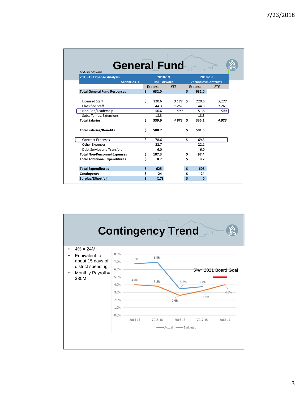| <b>General Fund</b><br><b>USD in Millions</b> |    |                     |            |    |                            |            |
|-----------------------------------------------|----|---------------------|------------|----|----------------------------|------------|
| 2018-19 Expense Analysis                      |    | 2018-19             |            |    | 2018-19                    |            |
| Scenarios-->                                  |    | <b>Roll Forward</b> |            |    | <b>Vacancies/Contracts</b> |            |
|                                               |    | Expense             | <b>FTE</b> |    | Expense                    | <b>FTE</b> |
| <b>Total General Fund Resources</b>           | \$ | 632.0               |            | \$ | 632.0                      |            |
|                                               |    |                     |            |    |                            |            |
| <b>Licensed Staff</b>                         | \$ | 220.6               | $3,122$ \$ |    | 220.6                      | 3,122      |
| <b>Classified Staff</b>                       |    | 44.3                | 1,261      |    | 44.3                       | 1,261      |
| Non-Rep/Leadership                            |    | 56.6                | 590        |    | 51.8                       | 540        |
| Subs, Temps, Extensions                       |    | 18.3                |            |    | 18.3                       |            |
| <b>Total Salaries</b>                         | Ś  | 339.9               | 4.973      | \$ | 335.1                      | 4,923      |
| <b>Total Salaries/Benefits</b>                | \$ | 508.7               |            | \$ | 501.5                      |            |
| <b>Contract Expenses</b>                      | ς. | 78.6                |            | ς. | 69.3                       |            |
| <b>Other Expenses</b>                         |    | 22.7                |            |    | 22.1                       |            |
| Debt Service and Transfers                    |    | 6.0                 |            |    | 6.0                        |            |
| <b>Total Non-Personnel Expenses</b>           | \$ | 107.3               |            | \$ | 97.4                       |            |
| <b>Total Additional Expenditures</b>          | \$ | 8.7                 |            | \$ | 8.7                        |            |
| <b>Total Expenditures</b>                     | \$ | 625                 |            | \$ | 608                        |            |
| Contingency                                   | \$ | 24                  |            | \$ | 24                         |            |
| Surplus/(Shortfall)                           | Ś  | (17)                |            | \$ | $\mathbf{0}$               |            |

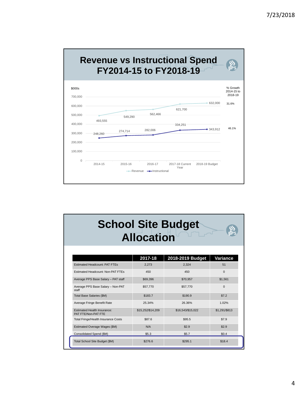

|                                                           | <b>Allocation</b> | <b>School Site Budget</b> |               |
|-----------------------------------------------------------|-------------------|---------------------------|---------------|
|                                                           | 2017-18           | 2018-2019 Budget          | Variance      |
| <b>Estimated Headcount: PAT FTEs</b>                      | 2,273             | 2,324                     | 51            |
| Estimated Headcount: Non-PAT FTEs                         | 450               | 450                       | $\Omega$      |
| Average PPS Base Salary - PAT staff                       | \$69,396          | \$70,957                  | \$1,561       |
| Average PPS Base Salary - Non-PAT<br>staff                | \$57,770          | \$57,770                  | $\Omega$      |
| Total Base Salaries (\$M)                                 | \$183.7           | \$190.9                   | \$7.2         |
| Average Fringe Benefit Rate                               | 25.34%            | 26.36%                    | 1.02%         |
| <b>Estimated Health Insurance:</b><br>PAT FTE/Non-PAT FTE | \$15,252/\$14,209 | \$16,543/\$15,022         | \$1.291/\$813 |
| <b>Total Fringe/Health Insurance Costs</b>                | \$87.6            | \$95.5                    | \$7.9         |
| Estimated Overage Wages (\$M)                             | N/A               | \$2.9                     | \$2.9         |
| Consolidated Spend (\$M)                                  | \$5.3             | \$5.7                     | \$0.4         |
| Total School Site Budget (\$M)                            | \$276.6           | \$295.1                   | \$18.4        |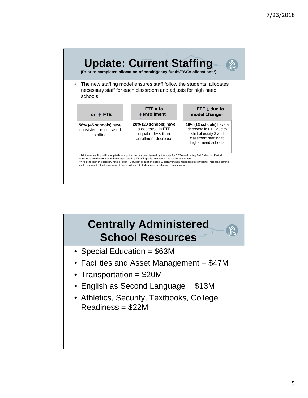

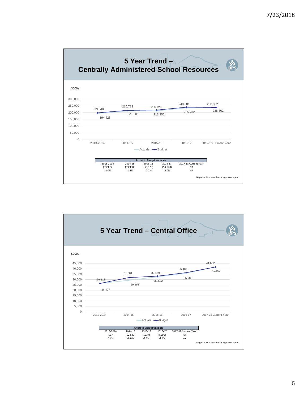

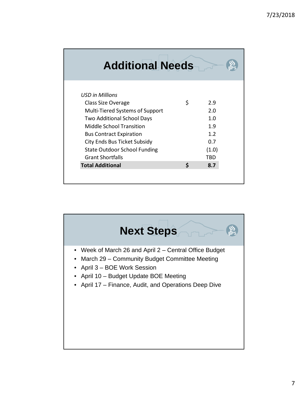| <b>Additional Needs</b>             |    |       |  |
|-------------------------------------|----|-------|--|
| <b>USD</b> in Millions              |    |       |  |
| Class Size Overage                  | \$ | 2.9   |  |
| Multi-Tiered Systems of Support     |    | 2.0   |  |
| <b>Two Additional School Days</b>   |    | 1.0   |  |
| Middle School Transition            |    | 1.9   |  |
| <b>Bus Contract Expiration</b>      |    | 1.2   |  |
| City Ends Bus Ticket Subsidy        |    | 0.7   |  |
| <b>State Outdoor School Funding</b> |    | (1.0) |  |
| <b>Grant Shortfalls</b>             |    | TBD   |  |
| <b>Total Additional</b>             | Ś  | 8.7   |  |
|                                     |    |       |  |

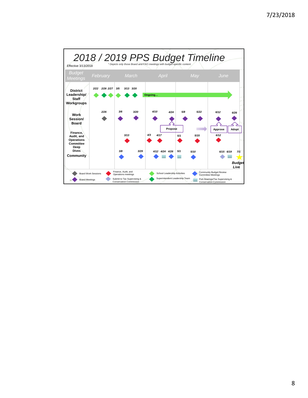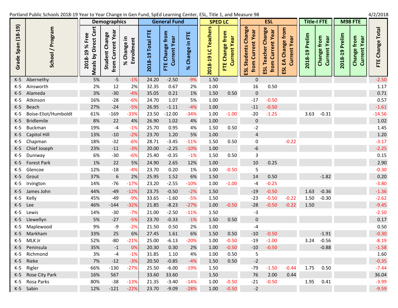Portland Public Schools 2018‐19 Year to

T

|                     | Schools 2018-19 Year to Year Change in Gen Fund, SpEd Learning Center, ESL, Title 1, and Measure 98 : |                |                       |                    |         | /2/2018  |
|---------------------|-------------------------------------------------------------------------------------------------------|----------------|-----------------------|--------------------|---------|----------|
| <b>Demographics</b> | General Fund                                                                                          | <b>SPED LC</b> | w                     | <b>Title-I FTE</b> | M98 FTE |          |
|                     | 1.11                                                                                                  | $\sim$         | a)<br>a»<br><b>DO</b> |                    |         | $\sigma$ |

|                    |                      |                                                                 | <b>Demographics</b>                    |                                          |                   | <b>General Fund</b>             |                            | <b>SPED LC</b>      |                                    |                                                    | <b>ESL</b>                                        |                                         | <b>Title-I FTE</b> |                                                    |                | M98 FTE                            |                  |
|--------------------|----------------------|-----------------------------------------------------------------|----------------------------------------|------------------------------------------|-------------------|---------------------------------|----------------------------|---------------------|------------------------------------|----------------------------------------------------|---------------------------------------------------|-----------------------------------------|--------------------|----------------------------------------------------|----------------|------------------------------------|------------------|
| Grade Span (18-19) | School / Program     | Direct Cert<br>Free<br>৯<br>თ<br><b>Meals by</b><br>ထင်္<br>201 | from Current Year<br>Change<br>Student | 크.<br><b>Enrollment</b><br>Change i<br>ৼ | 2018-19 Total FTE | FTE Change from<br>Current Year | Ë<br>Change in<br>$\aleph$ | 2018-19 LC Teachers | FTE Change from<br>Year<br>Current | ESL Students Change<br><b>Current Year</b><br>from | ESL Teacher Change<br><b>Current Year</b><br>from | Change from<br>Current Year<br>₷<br>ESL | 2018-19 Prelim     | <b>Current Year</b><br>from<br>Change <sup>-</sup> | 2018-19 Prelim | Change from<br><b>Current Year</b> | FTE Change Total |
| $K-5$              | Abernethy            | 5%                                                              | $-5$                                   | $-1%$                                    | 24.20             | $-2.50$                         | $-9%$                      | 1.50                |                                    | $\boldsymbol{0}$                                   |                                                   |                                         |                    |                                                    |                |                                    | $-2.50$          |
| $K-5$              | Ainsworth            | 2%                                                              | 12                                     | 2%                                       | 32.35             | 0.67                            | 2%                         | 1.00                |                                    | 16                                                 | 0.50                                              |                                         |                    |                                                    |                |                                    | 1.17             |
| $K-5$              | Alameda              | 3%                                                              | $-30$                                  | $-4%$                                    | 35.05             | 0.21                            | 1%                         | 1.50                | 0.50                               | $\boldsymbol{0}$                                   |                                                   |                                         |                    |                                                    |                |                                    | 0.71             |
| K-5                | Atkinson             | 16%                                                             | $-28$                                  | $-6%$                                    | 24.70             | 1.07                            | 5%                         | 1.00                |                                    | $-17$                                              | $-0.50$                                           |                                         |                    |                                                    |                |                                    | 0.57             |
| $K-5$              | Beach                | 27%                                                             | $-24$                                  | $-5%$                                    | 26.95             | $-1.11$                         | $-4%$                      | 1.00                |                                    | $-11$                                              | $-0.50$                                           |                                         |                    |                                                    |                |                                    | $-1.61$          |
| K-5                | Boise-Eliot/Humboldt | 61%                                                             | $-169$                                 | $-33%$                                   | 23.50             | $-12.00$                        | $-34%$                     | 1.00                | $-1.00$                            | $-20$                                              | $-1.25$                                           |                                         | 3.63               | $-0.31$                                            |                |                                    | $-14.56$         |
| $K-5$              | <b>Bridlemile</b>    | 8%                                                              | 22                                     | 4%                                       | 26.90             | 1.02                            | 4%                         | 1.00                |                                    | $\boldsymbol{0}$                                   |                                                   |                                         |                    |                                                    |                |                                    | $1.02\,$         |
| $K-5$              | <b>Buckman</b>       | 19%                                                             | $-4$                                   | $-1%$                                    | 25.70             | 0.95                            | 4%                         | 1.50                | 0.50                               | $-2$                                               |                                                   |                                         |                    |                                                    |                |                                    | 1.45             |
| $K-5$              | Capitol Hill         | 13%                                                             | $-10$                                  | $-2%$                                    | 23.70             | 1.20                            | 5%                         | 1.00                |                                    | $\overline{4}$                                     |                                                   |                                         |                    |                                                    |                |                                    | $1.20\,$         |
| K-5                | Chapman              | 18%                                                             | $-32$                                  | $-6%$                                    | 28.71             | $-3.45$                         | $-11%$                     | 1.50                | 0.50                               | $\pmb{0}$                                          |                                                   | $-0.22$                                 |                    |                                                    |                |                                    | $-3.17$          |
| $K-5$              | Chief Joseph         | 23%                                                             | $-11$                                  | $-3%$                                    | 20.00             | $-2.25$                         | $-10%$                     | 1.00                |                                    | $-6$                                               |                                                   |                                         |                    |                                                    |                |                                    | $-2.25$          |
| K-5                | Duniway              | 6%                                                              | $-30$                                  | $-6%$                                    | 25.40             | $-0.35$                         | $-1%$                      | 1.50                | 0.50                               | $\mathbf{3}$                                       |                                                   |                                         |                    |                                                    |                |                                    | 0.15             |
| $K-5$              | Forest Park          | 1%                                                              | 22                                     | 5%                                       | 24.90             | 2.65                            | 12%                        | 1.00                |                                    | 10                                                 | 0.25                                              |                                         |                    |                                                    |                |                                    | 2.90             |
| $K-5$              | Glencoe              | 12%                                                             | $-18$                                  | $-4%$                                    | 23.70             | 0.20                            | 1%                         | 1.00                | $-0.50$                            | 5                                                  |                                                   |                                         |                    |                                                    |                |                                    | $-0.30$          |
| $K-5$              | Grout                | 37%                                                             | $\sqrt{6}$                             | 2%                                       | 25.95             | 1.52                            | 6%                         | 1.50                |                                    | 14                                                 | 0.50                                              |                                         |                    | $-1.82$                                            |                |                                    | 0.20             |
| $K-5$              | Irvington            | 14%                                                             | $-76$                                  | $-17%$                                   | 23.20             | $-2.55$                         | $-10%$                     | 1.00                | $-1.00$                            | $-4$                                               | $-0.25$                                           |                                         |                    |                                                    |                |                                    | $-3.80$          |
| $K-5$              | James John           | 44%                                                             | $-49$                                  | $-12%$                                   | 23.75             | $-0.50$                         | $-2%$                      | 1.50                |                                    | $-19$                                              | $-0.50$                                           |                                         | 1.63               | $-0.36$                                            |                |                                    | $-1.36$          |
| $K-5$              | Kelly                | 45%                                                             | $-49$                                  | $-9%$                                    | 33.65             | $-1.60$                         | $-5%$                      | 1.50                |                                    | $-23$                                              | $-0.50$                                           | $-0.22$                                 | 1.50               | $-0.30$                                            |                |                                    | $-2.62$          |
| $K-5$              | Lee                  | 46%                                                             | $-144$                                 | $-32%$                                   | 21.85             | $-8.23$                         | $-27%$                     | 1.00                | $-0.50$                            | $-28$                                              | $-0.50$                                           | $-0.22$                                 | 1.50               |                                                    |                |                                    | $-9.45$          |
| $K-5$              | Lewis                | 14%                                                             | $-30$                                  | $-7%$                                    | 21.00             | $-2.50$                         | $-11%$                     | 1.50                |                                    | $-3$                                               |                                                   |                                         |                    |                                                    |                |                                    | $-2.50$          |
| $K-5$              | Llewellyn            | 5%                                                              | $-27$                                  | $-5%$                                    | 23.70             | $-0.33$                         | $-1%$                      | 1.50                | 0.50                               | $\boldsymbol{0}$                                   |                                                   |                                         |                    |                                                    |                |                                    | 0.17             |
| $K-5$              | Maplewood            | 9%                                                              | $-9$                                   | $-2%$                                    | 21.50             | 0.50                            | 2%                         | 1.00                |                                    | $-4$                                               |                                                   |                                         |                    |                                                    |                |                                    | 0.50             |
| $K-5$              | Markham              | 33%                                                             | 25                                     | 6%                                       | 27.45             | 1.61                            | 6%                         | 1.50                | 0.50                               | $-10$                                              | $-0.50$                                           |                                         |                    | $-1.91$                                            |                |                                    | $-0.30$          |
| K-5                | MLK Jr               | 52%                                                             | $-80$                                  | $-21%$                                   | 25.00             | $-6.13$                         | $-20%$                     | 1.00                | $-0.50$                            | $-19$                                              | $-1.00$                                           |                                         | 3.24               | $-0.56$                                            |                |                                    | $-8.19$          |
| $K-5$              | Peninsula            | 35%                                                             | $-1$                                   | 0%                                       | 20.30             | 0.30                            | 2%                         | 1.00                | $-0.50$                            | $-10$                                              | $-0.50$                                           |                                         |                    | $-0.88$                                            |                |                                    | $-1.58$          |
| K-5                | Richmond             | 3%                                                              | -4                                     | $-1%$                                    | 31.85             | 1.10                            | 4%                         | 1.00                | 0.50                               | 5                                                  |                                                   |                                         |                    |                                                    |                |                                    | 1.60             |
| $K-5$              | Rieke                | 7%                                                              | $-12$                                  | $-3%$                                    | 20.50             | $-0.85$                         | $-4%$                      | 1.50                | 0.50                               | $-2$                                               |                                                   |                                         |                    |                                                    |                |                                    | $-0.35$          |
| $K-5$              | Rigler               | 66%                                                             | $-130$                                 | $-27%$                                   | 25.50             | $-6.00$                         | $-19%$                     | 1.50                |                                    | $-79$                                              | $-1.50$                                           | $-0.44$                                 | 1.75               | 0.50                                               |                |                                    | $-7.44$          |
| $K-5$              | Rose City Park       | 16%                                                             | 567                                    |                                          | 33.60             | 33.60                           |                            | 1.50                |                                    | 76                                                 | 2.00                                              | 0.44                                    |                    |                                                    |                |                                    | 36.04            |
| $K-5$              | Rosa Parks           | 80%                                                             | $-38$                                  | $-13%$                                   | 21.35             | $-3.40$                         | $-14%$                     | 1.00                | $-0.50$                            | $-21$                                              | $-0.50$                                           |                                         | 1.95               | 0.41                                               |                |                                    | $-3.99$          |
|                    | K-5 Sabin            | 12%                                                             | $-121$                                 | $-22%$                                   | 23.70             | $-9.09$                         | $-28%$                     | 1.00                | $-0.50$                            | $-2$                                               |                                                   |                                         |                    |                                                    |                |                                    | $-9.59$          |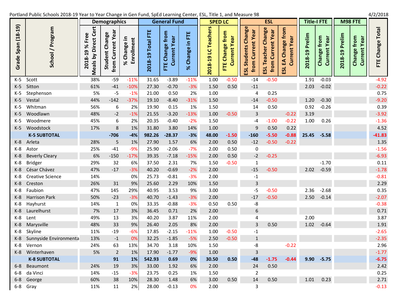### Portland Public Schools 2018‐19 Year to

**Grade Span (18 ‐19)**

| Schools 2018-19 Year to Year Change in Gen Fund, SpEd Learning Center, ESL, Title 1, and Measure 98 |                                                                                    |                                                           |                                                 |                            |                                                                             |                                |                                                  |                                     |                                                                 |                                                                                            |                                                                        |                              |                                          |                                                 |                                                         | 4/2/2018                                   |  |
|-----------------------------------------------------------------------------------------------------|------------------------------------------------------------------------------------|-----------------------------------------------------------|-------------------------------------------------|----------------------------|-----------------------------------------------------------------------------|--------------------------------|--------------------------------------------------|-------------------------------------|-----------------------------------------------------------------|--------------------------------------------------------------------------------------------|------------------------------------------------------------------------|------------------------------|------------------------------------------|-------------------------------------------------|---------------------------------------------------------|--------------------------------------------|--|
|                                                                                                     |                                                                                    | <b>Demographics</b>                                       |                                                 |                            | <b>General Fund</b>                                                         |                                | <b>SPED LC</b>                                   |                                     |                                                                 | <b>ESL</b>                                                                                 |                                                                        |                              | <b>Title-I FTE</b>                       |                                                 | M98 FTE                                                 |                                            |  |
| nglgo<br>៑<br>Ō<br>_<br>აე                                                                          | Φ<br>Φ<br>ပ<br>ω<br>ゼ<br>৯<br>≟.<br>۵<br>თ<br>↽<br><u>ځ</u><br>∞<br>eals<br>↽<br>o | Yea<br>nge<br>Ghai<br>Ë<br>ω<br>Student<br>Е<br>Ō<br>from | ⊭<br>Φ<br>စ္မွ<br><b>e1</b><br>O<br>ں<br>ৼ<br>ш | ш<br>ota<br>თ<br>H<br>2018 | O<br><b>ea</b><br>ω<br>50<br>だ<br>ၑ<br>ω<br>O<br>ш<br>$\mathbf \omega$<br>щ | 쁀<br>.≘<br>nge<br>æ<br>ౘ<br>৯ৎ | <b>Teache</b><br>ပ<br>$\overline{a}$<br>œ<br>201 | from<br>සි<br>Change<br>ω<br>ш<br>뉸 | ange<br>ă<br>$\mathbf{\omega}$<br>den<br>$\epsilon$<br>Ū<br>ESL | hange<br>ā<br>$\mathbf{\omega}$<br>ቹ<br>$\overline{\mathbf{C}}$<br>ache<br>ူ<br>from<br>51 | ε<br>តូ<br>⊷<br><u>ဖွ</u> စ<br>Ξ<br><u>مر</u><br>حا<br>ω<br>ิธี<br>ESL | reli<br>O.<br>თ<br>H<br>2018 | from<br>සි<br>nge<br>ω<br>Chai<br>$\cup$ | 들<br>$\mathbf{v}$<br>Δ.<br>$\mathbf{a}$<br>2018 | $\epsilon$<br><b>ea</b><br>nge<br>$\omega$<br>Char<br>ں | <b>Total</b><br>nge<br><b>a1</b><br>ರ<br>Ë |  |
|                                                                                                     | 38%                                                                                | $-59$                                                     | $-11%$                                          | 31.65                      | $-3.89$                                                                     | $-11%$                         | 1.00                                             | $-0.50$                             | $-14$                                                           | $-0.50$                                                                                    |                                                                        | 1.91                         | $-0.03$                                  |                                                 |                                                         | $-4.92$                                    |  |
|                                                                                                     | 61%                                                                                | $-41$                                                     | $-10%$                                          | 27.30                      | $-0.70$                                                                     | $-3%$                          | 1.50                                             | 0.50                                | $-11$                                                           |                                                                                            |                                                                        | 2.03                         | $-0.02$                                  |                                                 |                                                         | $-0.22$                                    |  |
| nson                                                                                                | 5%                                                                                 | $-5$                                                      | $-1%$                                           | 21.00                      | 0.50                                                                        | 2%                             | 1.00                                             |                                     | 4                                                               | 0.25                                                                                       |                                                                        |                              |                                          |                                                 |                                                         | 0.75                                       |  |
|                                                                                                     | 44%                                                                                | $-142$                                                    | $-37%$                                          | 19.10                      | $-8.40$                                                                     | $-31%$                         | 1.50                                             |                                     | $-14$                                                           | $-0.50$                                                                                    |                                                                        | 1.20                         | $-0.30$                                  |                                                 |                                                         | $-9.20$                                    |  |

|         |                         | ≥   |              |        |        |          |        | $\overline{N}$ |         | 畄                | ш       | ĩй.     |       |         |          |
|---------|-------------------------|-----|--------------|--------|--------|----------|--------|----------------|---------|------------------|---------|---------|-------|---------|----------|
| $K-5$   | Scott                   | 38% | $-59$        | $-11%$ | 31.65  | $-3.89$  | $-11%$ | 1.00           | $-0.50$ | $-14$            | $-0.50$ |         | 1.91  | $-0.03$ | $-4.92$  |
| $K-5$   | Sitton                  | 61% | $-41$        | $-10%$ | 27.30  | $-0.70$  | $-3%$  | 1.50           | 0.50    | $-11$            |         |         | 2.03  | $-0.02$ | $-0.22$  |
| K-5     | Stephenson              | 5%  | $-5$         | $-1%$  | 21.00  | 0.50     | 2%     | 1.00           |         | $\overline{4}$   | 0.25    |         |       |         | 0.75     |
| $K-5$   | Vestal                  | 44% | $-142$       | $-37%$ | 19.10  | $-8.40$  | $-31%$ | 1.50           |         | $-14$            | $-0.50$ |         | 1.20  | $-0.30$ | $-9.20$  |
| $K-5$   | Whitman                 | 56% | 6            | 2%     | 19.90  | 0.15     | 1%     | 1.50           |         | 14               | 0.50    |         | 0.92  | $-0.26$ | 0.39     |
| $K-5$   | Woodlawn                | 48% | $-2$         | $-1%$  | 21.55  | $-3.20$  | $-13%$ | 1.00           | $-0.50$ | $\overline{3}$   |         | $-0.22$ | 3.19  |         | $-3.92$  |
| $K-5$   | Woodmere                | 45% | 6            | 2%     | 20.35  | $-0.40$  | $-2%$  | 1.50           |         | $-4$             | $-1.00$ | $-0.22$ | 1.00  | 0.26    | $-1.36$  |
| $K-5$   | Woodstock               | 17% | 8            | 1%     | 31.80  | 3.80     | 14%    | 1.00           |         | 9                | 0.50    | 0.22    |       |         | 4.52     |
|         | <b>K-5 SUBTOTAL</b>     |     | $-706$       | $-4%$  | 982.26 | $-28.37$ | $-3%$  | 48.00          | $-1.50$ | $-160$           | $-5.50$ | $-0.88$ | 25.45 | $-5.58$ | $-41.83$ |
| $K-8$   | Arleta                  | 28% | 5            | 1%     | 27.90  | 1.57     | 6%     | 2.00           | 0.50    | $-12$            | $-0.50$ | $-0.22$ |       |         | 1.35     |
| $K-8$   | Astor                   | 25% | $-41$        | $-9%$  | 25.90  | $-2.06$  | $-7%$  | 2.00           | 0.50    | $\mathbf 0$      |         |         |       |         | $-1.56$  |
| $K-8$   | <b>Beverly Cleary</b>   | 6%  | $-150$       | $-17%$ | 39.35  | $-7.18$  | $-15%$ | 2.00           | 0.50    | $-2$             | $-0.25$ |         |       |         | $-6.93$  |
| $K-8$   | <b>Bridger</b>          | 29% | 32           | 6%     | 37.50  | 2.31     | 7%     | 1.50           | $-0.50$ | $\mathbf 1$      |         |         |       | $-1.70$ | 0.11     |
| $K-8$   | César Chávez            | 47% | $-17$        | $-3%$  | 40.20  | $-0.69$  | $-2%$  | 2.00           |         | $-15$            | $-0.50$ |         | 2.02  | $-0.59$ | $-1.78$  |
| $K-8$   | <b>Creative Science</b> | 14% |              | 0%     | 25.73  | $-0.81$  | $-3%$  | 2.00           |         | $\textbf{-1}$    |         |         |       |         | $-0.81$  |
| $K-8$   | Creston                 | 26% | 31           | 9%     | 25.60  | 2.29     | 10%    | 1.50           |         | $\overline{3}$   |         |         |       |         | 2.29     |
| $K-8$   | Faubion                 | 47% | 145          | 29%    | 40.95  | 3.53     | 9%     | 3.00           |         | $-5$             | $-0.50$ |         | 2.36  | $-2.68$ | 0.35     |
| $K-8$   | <b>Harrison Park</b>    | 50% | $-23$        | $-3%$  | 40.70  | $-1.43$  | $-3%$  | 2.00           |         | $-17$            | $-0.50$ |         | 2.50  | $-0.14$ | $-2.07$  |
| $K-8$   | Hayhurst                | 14% | $\mathbf{1}$ | 0%     | 33.35  | $-0.88$  | $-3%$  | 0.50           | 0.50    | -8               |         |         |       |         | $-0.38$  |
| $K-8$   | Laurelhurst             | 7%  | 17           | 3%     | 36.45  | 0.71     | 2%     | 2.00           |         | $\boldsymbol{6}$ |         |         |       |         | 0.71     |
| $K-8$   | Lent                    | 49% | 13           | 3%     | 40.20  | 3.87     | 11%    | 2.00           |         | $\sqrt{4}$       |         |         | 2.00  |         | 3.87     |
| $K-8$   | Marysville              | 48% | 33           | 9%     | 26.40  | 2.05     | 8%     | 2.00           |         | $\overline{3}$   | 0.50    |         | 1.02  | $-0.64$ | 1.91     |
| $K-8$   | Skyline                 | 11% | $-19$        | $-6%$  | 17.85  | $-2.15$  | $-11%$ | 1.00           | $-0.50$ | $-1$             |         |         |       |         | $-2.65$  |
| $K-8$   | Sunnyside Environmenta  | 13% | $-1$         | 0%     | 32.25  | $-1.85$  | $-5%$  | 2.50           | $-0.50$ | $\mathbf 1$      |         |         |       |         | $-2.35$  |
| $K-8$   | Vernon                  | 24% | 63           | 13%    | 34.70  | 3.18     | 10%    | 1.50           |         | $-8$             |         | $-0.22$ |       |         | 2.96     |
| $K-8$   | Winterhaven             | 5%  | $2^{\circ}$  | 1%     | 17.90  | $-1.77$  | $-9%$  | 1.00           |         | 3                |         |         |       |         | $-1.77$  |
|         | <b>K-8 SUBTOTAL</b>     |     | 91           | 1%     | 542.93 | 0.69     | 0%     | 30.50          | 0.50    | $-48$            | $-1.75$ | $-0.44$ | 9.90  | $-5.75$ | $-6.75$  |
| $6 - 8$ | Beaumont                | 24% | 19           | 3%     | 33.00  | 1.92     | 6%     | 2.00           |         | 24               | 0.50    |         |       |         | 2.42     |
| $6-8$   | da Vinci                | 14% | $-15$        | $-3%$  | 23.75  | 0.25     | 1%     | 1.50           |         | $\overline{2}$   |         |         |       |         | 0.25     |
| $6 - 8$ | George                  | 60% | 38           | 10%    | 28.30  | 1.48     | 6%     | 3.00           | 0.50    | 14               | 0.50    |         | 1.01  | 0.23    | 2.71     |
| $6-8$   | Gray                    | 11% | 11           | 2%     | 28.00  | $-0.13$  | 0%     | 2.00           |         | 3                |         |         |       |         | $-0.13$  |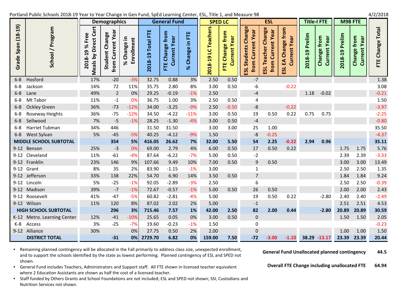Portland Public Schools 2018‐19 Year to Year Change in Gen Fund, SpEd Learning Center, ESL, Title 1, and Measure 98 4/2/2018

|                                 |                     |                                                                                                           |                                  |                                    |                                    |                                                              |                                |                                                                       |                           |                            |                                                            |                                                                                       |                                                                                      |                                        |                                       |                                       | $\cdot$ , –, – – – |
|---------------------------------|---------------------|-----------------------------------------------------------------------------------------------------------|----------------------------------|------------------------------------|------------------------------------|--------------------------------------------------------------|--------------------------------|-----------------------------------------------------------------------|---------------------------|----------------------------|------------------------------------------------------------|---------------------------------------------------------------------------------------|--------------------------------------------------------------------------------------|----------------------------------------|---------------------------------------|---------------------------------------|--------------------|
|                                 |                     |                                                                                                           | <b>Demographics</b>              |                                    |                                    | <b>General Fund</b>                                          |                                | <b>SPED LC</b>                                                        |                           |                            | <b>ESL</b>                                                 |                                                                                       | <b>Title-I FTE</b>                                                                   |                                        |                                       | M98 FTE                               |                    |
| 19)<br>$(18 -$<br>Span<br>Grade | ន្ល                 | ビ<br>$\overline{\mathbf{v}}$<br>စ္ယ<br>ပ<br>ರ<br>ৼ<br>თ<br>↽<br>0<br>$\infty$<br>eals<br><b>201</b><br>ΣĒ | ea<br>nge<br>ent<br>Stud<br>from | $\mathbf{H}$<br>စ္တ<br>៑<br>ပ<br>ৼ | ш<br>ir.<br>otal<br>თ<br>ᆸ<br>2018 | ٤<br>۰<br>සී<br>⇇<br>Φ<br>စ္မွ<br>œ<br>$\mathbf C$<br>ш<br>ᄂ | 뿐<br>글.<br>nge<br>ര<br>ပ<br>৯ৎ | m<br>Ō<br><b>ea</b><br>ပ<br>ഩ<br>$\overline{\phantom{0}}$<br>œ<br>201 | c<br>ω<br>ႜႜႍႍ<br>ర్<br>Ë | nge<br>ear<br>ത<br>ठ<br>នួ | nge<br>$\bar{\mathbf{a}}$<br><b>G</b><br>ă<br>동<br>이<br>51 | <b>From</b><br>ര<br>ω<br>စ္မွ<br><b>Ed</b><br>c<br>$\mathbf \omega$<br>⋾<br>ิธิ<br>53 | $\bar{\boldsymbol{\epsilon}}$<br>ω<br>o.<br>െ<br>ᆗ<br>018<br>$\overline{\mathbf{N}}$ | from<br><b>ea</b><br>Change<br>ົຣ<br>5 | 들<br>$\omega$<br>Δ.<br>മ<br>ᆸ<br>2018 | from<br><b>ea</b><br>nge<br>ω<br>Chai | 60<br>ပ<br>Ë       |
|                                 | 6-8 Hosford         | 17%                                                                                                       | $-20$                            | $-3%$                              | 32.75                              | 0.88                                                         | 3%                             | 2.50                                                                  | 0.50                      | $-7$                       |                                                            |                                                                                       |                                                                                      |                                        |                                       |                                       | 1.38               |
|                                 | 6-8 Jackson         | 14%                                                                                                       | 72                               | 11%                                | 35.75                              | 2.80                                                         | 8%                             | 3.00                                                                  | 0.50                      | $-6$                       |                                                            | $-0.22$                                                                               |                                                                                      |                                        |                                       |                                       | 3.08               |
|                                 | 6-8 Lane            | 49%                                                                                                       | $\overline{2}$                   | 0%                                 | 29.25                              | $-0.19$                                                      | $-1%$                          | 2.50                                                                  |                           | $-4$                       |                                                            |                                                                                       | 1.18                                                                                 | $-0.02$                                |                                       |                                       | $-0.21$            |
|                                 | 6-8 Mt Tabor        | 11%                                                                                                       | $-1$                             | 0%                                 | 36.75                              | 1.00                                                         | 3%                             | 2.50                                                                  | 0.50                      | 4                          |                                                            |                                                                                       |                                                                                      |                                        |                                       |                                       | 1.50               |
|                                 | 6-8 Ockley Green    | 36%                                                                                                       | $-73$                            | $-12%$                             | 34.00                              | $-3.25$                                                      | $-9%$                          | 2.50                                                                  | $-0.50$                   | $-8$                       |                                                            | $-0.22$                                                                               |                                                                                      |                                        |                                       |                                       | $-3.97$            |
|                                 | 6-8 Roseway Heights | 36%                                                                                                       | $-75$                            | $-12%$                             | 34.50                              | $-4.22$                                                      | $-11%$                         | 3.00                                                                  | 0.50                      | 19                         | 0.50                                                       | 0.22                                                                                  | 0.75                                                                                 | 0.75                                   |                                       |                                       | $-2.25$            |

Tubman 34% 446 31.50 31.50 3.00 3.00 25 1.00 35.50

Sylvan 5% ‐45 ‐5% 40.25 ‐4.12 ‐9% 1.50 ‐8 ‐0.25 ‐4.37

‐5 ‐1% 28.25 ‐1.30 ‐4% 3.00 0.50 ‐4 ‐0.80

| <b>MIDDLE SCHOOL SUBTOTAL</b> |     | 354   | 5%     | 416.05  | 26.62   | 7%     | 32.00  | 5.50 | 54           | 2.25  | $-0.22$ | 2.94  | 0.96    |       |       | 35.11   |
|-------------------------------|-----|-------|--------|---------|---------|--------|--------|------|--------------|-------|---------|-------|---------|-------|-------|---------|
| 9-12 Benson                   | 25% | $-3$  | 0%     | 69.00   | 2.79    | 4%     | 6.00   | 0.50 | 17           | 0.50  | 0.22    |       |         | 1.75  | 1.75  | 5.76    |
| 9-12 Cleveland                | 11% | $-61$ | -4%    | 87.64   | $-6.22$ | $-7%$  | 5.00   | 0.50 | $-2$         |       |         |       |         | 2.39  | 2.39  | $-3.33$ |
| 9-12 Franklin                 | 23% | 146   | 9%     | 107.66  | 9.49    | 10%    | 7.00   | 0.50 | 9            | 0.50  |         |       |         | 3.00  | 3.00  | 13.49   |
| 9-12 Grant                    | 8%  | 35    | 2%     | 83.90   | $-1.15$ | $-1\%$ | 3.00   |      |              |       |         |       |         | 2.50  | 2.50  | 1.35    |
| 9-12 Jefferson                | 33% | 138   | 22%    | 54.70   | 6.90    | 14%    | 3.50   | 0.50 |              |       |         |       |         | 1.84  | 1.84  | 9.24    |
| 9-12 Lincoln                  | 5%  | $-25$ | $-1%$  | 92.05   | $-2.89$ | $-3%$  | 2.50   |      | 6            |       |         |       |         | 2.50  | 2.50  | $-0.39$ |
| 9-12 Madison                  | 39% | $-7$  | $-1%$  | 72.67   | $-0.57$ | $-1%$  | 5.00   | 0.50 | 26           | 0.50  |         |       |         | 2.00  | 2.00  | 2.43    |
| 9-12 Roosevelt                | 41% | $-47$ | $-5%$  | 60.82   | $-2.81$ | -4%    | 5.00   |      | 19           | 0.50  | 0.22    |       | $-2.80$ | 2.40  | 2.40  | $-2.49$ |
| 9-12 Wilson                   | 11% | 120   | 8%     | 87.02   | 2.02    | 2%     | 5.00   |      | $-1$         |       |         |       |         | 2.51  | 2.51  | 4.53    |
| <b>HIGH SCHOOL SUBTOTAL</b>   |     | 296   | 3%     | 715.46  | 7.57    | 1%     | 42.00  | 2.50 | 82           | 2.00  | 0.44    |       | $-2.80$ | 20.89 | 20.89 | 30.59   |
| K-12 Metro. Learning Center   | 12% | $-41$ | $-10%$ | 25.65   | 0.05    | 0%     | 3.00   | 0.50 | $\mathbf{0}$ |       |         |       |         | 1.50  | 1.50  | 2.05    |
| K-8<br>Access                 | 3%  | $-25$ | $-7%$  | 19.60   | $-0.23$ | $-1\%$ | 1.50   |      | 0            |       |         |       |         |       |       | $-0.23$ |
| Alliance<br>$9 - 12$          | 30% |       | 0%     | 27.75   | 0.50    | 2%     | 2.00   |      | $\Omega$     |       |         |       |         | 1.00  | 1.00  | 1.50    |
| <b>DISTRICT TOTAL</b>         |     | $-31$ | 0%     | 2729.70 | 6.82    | 0%     | 159.00 | 7.50 | $-72$        | -3.00 | $-1.10$ | 38.29 | -13.17  | 23.39 | 23.39 | 20.44   |

• Remaining planned contingency will be allocated in the Fall primarily to address class size, unexpected enrollment, and to support the schools identified by the state as lowest performing. Planned contingency of ESL and SPED not shown.

6‐8 Sellwood 7%

6‐8 Harriet

6‐8 West

• General Fund includes Teachers, Administrators and Support staff. All FTE shown in licensed teacher equivalent where 2 Education Assistants are shown as half the cost of <sup>a</sup> licensed teacher.

• Staff funded by Others Grants and School Foundations are not included; ESL and SPED not shown; SSI, Custodians and Nutrition Services not shown.

**General Fund Unallocated planned contingency 44.5**

**Overall FTE Change including unallocated FTE 64.94**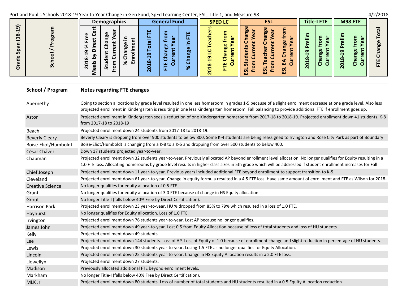## Portland Public Schools 2018‐19 Year to Year Change in Gen Fund, SpEd Learning Center, ESL, Title 1, and Measure 98 4/2/2018

|                                                                          |         | Demographics                                                                                    |                                                                  | <b>General Fund</b>                                             |                                               |                                                                      | <b>SPED LC</b> |                                                             | <b>ESL</b>                              |             |                                                                      | <b>Title-I FTE</b>                            |                                                                  | M98 FTE                                                |                         |
|--------------------------------------------------------------------------|---------|-------------------------------------------------------------------------------------------------|------------------------------------------------------------------|-----------------------------------------------------------------|-----------------------------------------------|----------------------------------------------------------------------|----------------|-------------------------------------------------------------|-----------------------------------------|-------------|----------------------------------------------------------------------|-----------------------------------------------|------------------------------------------------------------------|--------------------------------------------------------|-------------------------|
| 19)<br>$\infty$<br>$\overline{u}$<br>요<br><b>S</b><br>$\omega$<br>Φ<br>ပ | br<br>ທ | π<br>$\cup$<br>ω<br>c<br>ים<br>o<br>↽<br>C<br>œ<br>న్<br>-<br>$\Box$<br>с<br>$\sim$<br><b>i</b> | ш<br>ω<br>໑<br>↽<br>$\infty$<br>ш<br>↽<br>o<br>$\mathbf{\Omega}$ | ω<br>юn<br>. .<br>ω<br>19<br>$\mathbf C$<br>ш<br>$\bullet$<br>ய | ш<br>$\overline{\phantom{0}}$<br>ы<br>╰°<br>๛ | m<br>ഩ<br>↽<br>$\alpha$<br>↽<br>$\bullet$<br>$\overline{\mathbf{N}}$ | ω<br>oo<br>ш   | ω<br>60<br>ю.<br>ω<br>œ<br>ω<br>ω<br>=<br>_<br>تت<br>S<br>ш | ω<br>60<br>$\overline{\mathbf{5}}$<br>ڪ | ш<br>S<br>ш | -<br>თ<br>H<br>$\infty$<br>↽<br>$\bullet$<br>$\overline{\mathbf{N}}$ | $\overline{O}$<br>ω<br>60<br>൹<br>$\cup$<br>ပ | -<br>ω<br>თ<br>Н<br>$\infty$<br>↽<br>$\bullet$<br>$\overline{N}$ | ത<br>o<br>$\omega$<br>ω<br>50<br>$\mathbf \sigma$<br>ں | œ<br>$\omega$<br>w<br>ш |

#### **School / Program / Program Notes regarding FTE changes**

| Abernethy               | Going to section allocations by grade level resulted in one less homeroom in grades 1-5 because of a slight enrollment decrease at one grade level. Also less<br>projected enrollment in Kindergarten is resulting in one less Kindergarten homeroom. Fall balancing to provide additional FTE if enrollment goes up.          |
|-------------------------|--------------------------------------------------------------------------------------------------------------------------------------------------------------------------------------------------------------------------------------------------------------------------------------------------------------------------------|
| Astor                   | Projected enrollment in Kindergarten sees a reduction of one Kindergarten homeroom from 2017-18 to 2018-19. Projected enrollment down 41 students. K-8<br>from 2017-18 to 2018-19                                                                                                                                              |
| Beach                   | Projected enrollment down 24 students from 2017-18 to 2018-19.                                                                                                                                                                                                                                                                 |
| <b>Beverly Cleary</b>   | Beverly Cleary is dropping from over 900 students to below 800. Some K-4 students are being reassigned to Irvington and Rose City Park as part of Boundary                                                                                                                                                                     |
| Boise-Eliot/Humboldt    | Boise-Eliot/Humboldt is changing from a K-8 to a K-5 and dropping from over 500 students to below 400.                                                                                                                                                                                                                         |
| César Chávez            | Down 17 students projected year-to-year.                                                                                                                                                                                                                                                                                       |
| Chapman                 | Projected enrollment down 32 students year-to-year. Previously allocated AP beyond enrollment level allocation. No longer qualifies for Equity resulting in a<br>1.0 FTE loss. Allocating homerooms by grade level results in higher class sizes in 5th grade which will be addressed if student enrollment increases for Fall |
| Chief Joseph            | Projected enrollment down 11 year-to-year. Previous years included additional FTE beyond enrollment to support transition to K-5.                                                                                                                                                                                              |
| Cleveland               | Projected enrollment down 61 year-to-year. Change in equity formula resulted in a 4.5 FTE loss. Have same amount of enrollment and FTE as Wilson for 2018-                                                                                                                                                                     |
| <b>Creative Science</b> | No longer qualifies for equity allocation of 0.5 FTE.                                                                                                                                                                                                                                                                          |
| Grant                   | No longer qualifies for equity allocation of 3.0 FTE because of change in HS Equity allocation.                                                                                                                                                                                                                                |
| Grout                   | No longer Title-I (falls below 40% Free by Direct Certification).                                                                                                                                                                                                                                                              |
| <b>Harrison Park</b>    | Projected enrollment down 23 year-to-year. HU % dropped from 85% to 79% which resulted in a loss of 1.0 FTE.                                                                                                                                                                                                                   |
| Hayhurst                | No longer qualifies for Equity allocation. Loss of 1.0 FTE.                                                                                                                                                                                                                                                                    |
| Irvington               | Projected enrollment down 76 students year-to-year. Lost AP because no longer qualifies.                                                                                                                                                                                                                                       |
| James John              | Projected enrollment down 49 year-to-year. Lost 0.5 from Equity Allocation because of loss of total students and loss of HU students.                                                                                                                                                                                          |
| Kelly                   | Projected enrollment down 49 students.                                                                                                                                                                                                                                                                                         |
| Lee                     | Projected enrollment down 144 students. Loss of AP. Loss of Equity of 1.0 because of enrollment change and slight reduction in percentage of HU students.                                                                                                                                                                      |
| Lewis                   | Projected enrollment down 30 students year-to-year. Losing 1.5 FTE as no longer qualifies for Equity Allocation.                                                                                                                                                                                                               |
| Lincoln                 | Projected enrollment down 25 students year-to-year. Change in HS Equity Allocation results in a 2.0 FTE loss.                                                                                                                                                                                                                  |
| Llewellyn               | Projected enrollment down 27 students.                                                                                                                                                                                                                                                                                         |
| Madison                 | Previously allocated additional FTE beyond enrollment levels.                                                                                                                                                                                                                                                                  |
| Markham                 | No longer Title-I (falls below 40% Free by Direct Certification).                                                                                                                                                                                                                                                              |
| MLK Jr                  | Projected enrollment down 80 students. Loss of number of total students and HU students resulted in a 0.5 Equity Allocation reduction                                                                                                                                                                                          |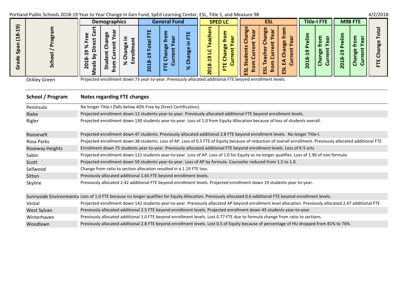# Portland Public Schools 2018‐19 Year to Year Change in Gen Fund, SpEd Learning Center, ESL, Title 1, and Measure 98 4/2/2018

| $\cdot$ $\cdot$ $\cdot$ $\cdot$                                                                                                    |   |                                                                                                                                                                 |                                                                                                                                |                                                                                                                                  |                                                                                      |                                                                               |                                                                                                                                   |                                                                        |
|------------------------------------------------------------------------------------------------------------------------------------|---|-----------------------------------------------------------------------------------------------------------------------------------------------------------------|--------------------------------------------------------------------------------------------------------------------------------|----------------------------------------------------------------------------------------------------------------------------------|--------------------------------------------------------------------------------------|-------------------------------------------------------------------------------|-----------------------------------------------------------------------------------------------------------------------------------|------------------------------------------------------------------------|
|                                                                                                                                    |   | <b>Demographics</b>                                                                                                                                             | <b>General Fund</b>                                                                                                            | <b>SPED LC</b>                                                                                                                   | <b>ESL</b>                                                                           | <b>Title-I FTE</b>                                                            | M98 FTE                                                                                                                           |                                                                        |
| $\widehat{\mathbf{e}}$<br>4<br>(18<br>c<br>$\boldsymbol{\sigma}$<br>요<br>S<br>$\mathbf{\omega}$<br>Ō<br>$\boldsymbol{\sigma}$<br>ပ | S | ω<br>ത<br>ω<br>C<br>ω<br>ъo<br>$\overline{\phantom{0}}$<br>ത<br>ω<br>90<br>ы<br>┕<br>σ<br>ത<br>ω<br>ں<br>n<br>ш<br>৯<br>↽<br>٠<br>O<br>ù,<br>$\mathbf{a}$<br>تت | ш<br>ш<br>$\sim$<br>თ<br>$\overline{\phantom{0}}$<br>∞<br>ഄ<br>$\overline{\phantom{0}}$<br>90<br>$\blacksquare$<br>∾<br>$\sim$ | m<br>ω<br>Ō<br>œ<br>u.,<br>Φ<br>ω<br><b>br</b><br>൹<br>ണ<br>−<br>ш<br>$\infty$<br>一<br>ய<br>$\bullet$<br>$\overline{\mathbf{N}}$ | ω<br>۵٥<br>ы<br>œ<br>ω<br>ω<br>ь٥<br>n<br>C<br>S<br>≓ت<br>ທ<br>S<br>ے<br>ш<br>ш<br>ш | ന<br>ъ.<br>↽<br>$\infty$<br>↽<br>$\circ$<br>c<br>u<br>$\overline{\mathbf{N}}$ | τσ.<br>-<br>ω<br>ω<br>$\bullet$<br>ω<br>თ<br><b>bo</b><br>Н<br>$\mathbf{a}$<br>$\infty$<br>τo<br>↽<br>$\circ$<br>O<br>Ч<br>$\sim$ | $\boldsymbol{\sigma}$<br>⊢<br>$\bullet$<br>60<br>π<br>む<br>ш<br>⊢<br>ட |

Ockley Green

Projected enrollment down 73 year‐to‐year. Previously allocated additional FTE beyond enrollment levels.

### **School / Program / Program Notes regarding FTE changes**

| Peninsula       | No longer Title-I (falls below 40% Free by Direct Certification).                                                                                            |
|-----------------|--------------------------------------------------------------------------------------------------------------------------------------------------------------|
| Rieke           | Projected enrollment down 12 students year-to-year. Previously allocated additional FTE beyond enrollment levels.                                            |
| Rigler          | Projected enrollment down 130 students year-to-year. Loss of 1.0 from Equity Allocation because of loss of students overall.                                 |
| Roosevelt       | Projected enrollment down 47 students. Previously allocated additional 2.8 FTE beyond enrollment levels. No longer Title-I.                                  |
| Rosa Parks      | Projected enrollment down 38 students. Loss of AP. Loss of 0.5 FTE of Equity because of reduction of overall enrollment. Previously allocated additional FTE |
| Roseway Heights | Enrollment down 75 students year-to-year. Previously allocated additional FTE beyond enrollment levels. Loss of K-5 arts                                     |
| Sabin           | Projected enrollment down 121 students year-to-year. Loss of AP. Loss of 1.0 for Equity as no longer qualifies. Loss of 1.96 of non formula                  |
| Scott           | Projected enrollment down 59 students year-to-year. Loss of AP by formula. Counselor reduced from 1.5 to 1.0.                                                |
| Sellwood        | Change from ratio to section allocation resulted in a 1.19 FTE loss.                                                                                         |
| Sitton          | Previously allocated additional 1.65 FTE beyond enrollment levels.                                                                                           |
| Skyline         | Previously allocated 2.42 additional FTE beyond enrollment levels. Projected enrollment down 19 students year-to-year.                                       |
|                 | Sunnyside Environmenta Loss of 1.0 FTE because no longer qualifies for Equity Allocation. Previously allocated 0.6 additional FTE beyond enrollment levels.  |
| Vestal          | Projected enrollment down 142 students year-to-year. Previously allocated AP beyond enrollment level allocation. Previously allocated 2.47 additional FTE    |
| West Sylvan     | Previously allocated additional 2.5 FTE beyond enrollment levels. Projected enrollment down 45 students year-to-year.                                        |
| Winterhaven     | Previously allocated additional 1.0 FTE beyond enrollment levels. Lost 0.77 FTE due to formula change from ratio to sections.                                |
| Woodlawn        | Previously allocated additional 2.8 FTE beyond enrollment levels. Lost 0.5 of Equity because of percentage of HU dropped from 81% to 76%                     |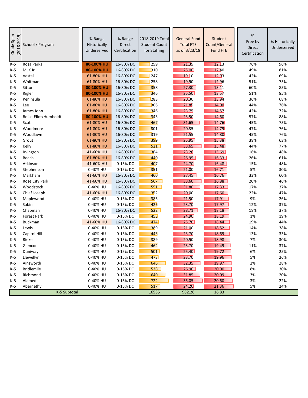| $(2018 - 2019)$<br>Grade Span | School / Program     | % Range<br>Historically<br>Underserved | % Range<br><b>Direct</b><br>Certification | 2018-2019 Total<br><b>Student Count</b><br>for Staffing | <b>General Fund</b><br><b>Total FTE</b><br>as of 3/23/18 | Student<br>Count/General<br><b>Fund FTE</b> | %<br>Free by<br>Direct<br>Certification | % Historically<br>Underserved |
|-------------------------------|----------------------|----------------------------------------|-------------------------------------------|---------------------------------------------------------|----------------------------------------------------------|---------------------------------------------|-----------------------------------------|-------------------------------|
| $K-5$                         | Rosa Parks           | 80-100% HU                             | 16-80% DC                                 | 259                                                     | 21.35                                                    | 12.13                                       | 76%                                     | 96%                           |
| K-5                           | MLK Jr               | 80-100% HU                             | 16-80% DC                                 | 310                                                     | 25.00                                                    | 12.40                                       | 49%                                     | 81%                           |
| K-5                           | Vestal               | 61-80% HU                              | 16-80% DC                                 | 247                                                     | 19.10                                                    | 12.93                                       | 42%                                     | 69%                           |
| $K-5$                         | Whitman              | 61-80% HU                              | 16-80% DC                                 | 258                                                     | 19.90                                                    | 12.96                                       | 51%                                     | 75%                           |
| K-5                           | Sitton               | 80-100% HU                             | 16-80% DC                                 | 358                                                     | 27.30                                                    | 13.11                                       | 60%                                     | 85%                           |
| K-5                           | Rigler               | 80-100% HU                             | 16-80% DC                                 | 346                                                     | 25.50                                                    | 13.57                                       | 51%                                     | 85%                           |
| $K-5$                         | Peninsula            | 61-80% HU                              | 16-80% DC                                 | 283                                                     | 20.30                                                    | 13.94                                       | 36%                                     | 68%                           |
| K-5                           | Lee                  | 61-80% HU                              | 16-80% DC                                 | <b>BO6</b>                                              | 21.85                                                    | 14.00                                       | 44%                                     | 76%                           |
| K-5                           | James John           | 61-80% HU                              | 16-80% DC                                 | 346                                                     | 23.75                                                    | 14.57                                       | 42%                                     | 72%                           |
| K-5                           | Boise-Eliot/Humboldt | 80-100% HU                             | 16-80% DC                                 | 343                                                     | 23.50                                                    | 14.60                                       | 57%                                     | 88%                           |
| K-5                           | Scott                | 61-80% HU                              | 16-80% DC                                 | 467                                                     | 31.65                                                    | 14.76                                       | 45%                                     | 75%                           |
| $K-5$                         | Woodmere             | 61-80% HU                              | 16-80% DC                                 | B01                                                     | 20.35                                                    | 14.79                                       | 47%                                     | 76%                           |
| K-5                           | Woodlawn             | 61-80% HU                              | 16-80% DC                                 | <b>3</b> 19                                             | 21.55                                                    | 14.80                                       | 45%                                     | 76%                           |
| K-5                           | Grout                | 61-80% HU                              | 16-80% DC                                 | 399                                                     | 25.95                                                    | 15.38                                       | 38%                                     | 63%                           |
| K-5                           | Kelly                | 61-80% HU                              | 16-80% DC                                 | 521                                                     | 33.65                                                    | 15.48                                       | 44%                                     | 77%                           |
| K-5                           | Irvington            | 41-60% HU                              | 16-80% DC                                 | 364                                                     | 23.20                                                    | 15.69                                       | 16%                                     | 48%                           |
| K-5                           | Beach                | 61-80% HU                              | 16-80% DC                                 | 440                                                     | 26.95                                                    | 16.33                                       | 26%                                     | 61%                           |
| K-5                           | Atkinson             | 41-60% HU                              | 0-15% DC                                  | 407                                                     | 24.70                                                    | 16.48                                       | 15%                                     | 48%                           |
| K-5                           | Stephenson           | 0-40% HU                               | 0-15% DC                                  | 351                                                     | 21.00                                                    | 16.71                                       | 5%                                      | 30%                           |
| K-5                           | Markham              | 41-60% HU                              | 16-80% DC                                 | 460                                                     | 27.45                                                    | 16.76                                       | 33%                                     | 60%                           |
| $K-5$                         | Rose City Park       | 41-60% HU                              | 16-80% DC                                 | 567                                                     | 33.60                                                    | 16.88                                       | 20%                                     | 46%                           |
| K-5                           | Woodstock            | 0-40% HU                               | 16-80% DC                                 | 551                                                     | 31.80                                                    | 17.33                                       | 17%                                     | 37%                           |
| $K-5$                         | Chief Joseph         | 41-60% HU                              | 16-80% DC                                 | 352                                                     | 20.00                                                    | 17.60                                       | 22%                                     | 47%                           |
| $K-5$                         | Maplewood            | 0-40% HU                               | 0-15% DC                                  | 385                                                     | 21.50                                                    | 17.91                                       | 9%                                      | 26%                           |
| $K-5$                         | Sabin                | 0-40% HU                               | 0-15% DC                                  | 426                                                     | 23.70                                                    | 17.97                                       | 12%                                     | 37%                           |
| K-5                           | Chapman              | 0-40% HU                               | 16-80% DC                                 | 522                                                     | 28.71                                                    | 18.18                                       | 18%                                     | 37%                           |
| K-5                           | <b>Forest Park</b>   | 0-40% HU                               | 0-15% DC                                  | 453                                                     | 24.90                                                    | 18.19                                       | 1%                                      | 19%                           |
| K-5                           | <b>Buckman</b>       | 41-60% HU                              | 16-80% DC                                 | 474                                                     | 25.70                                                    | 18.44                                       | 19%                                     | 44%                           |
| $K-5$                         | Lewis                | 0-40% HU                               | 0-15% DC                                  | <b>389</b>                                              | 21.00                                                    | 18.52                                       | 14%                                     | 38%                           |
| K-5                           | Capitol Hill         | 0-40% HU                               | 0-15% DC                                  | 443                                                     | 23.70                                                    | 18.69                                       | 13%                                     | 33%                           |
| K-5                           | Rieke                | 0-40% HU                               | 0-15% DC                                  | <b>389</b>                                              | 20.50                                                    | 18.98                                       | 7%                                      | 30%                           |
| $K-5$                         | Glencoe              | 0-40% HU                               | 0-15% DC                                  | 462                                                     | 23.70                                                    | 19.49                                       | 11%                                     | 37%                           |
| $K-5$                         | Duniway              | 0-40% HU                               | 0-15% DC                                  | 501                                                     | 25.40                                                    | 19.72                                       | 6%                                      | 25%                           |
| $K-5$                         | Llewellyn            | 0-40% HU                               | 0-15% DC                                  | 473                                                     | 23.70                                                    | 19.96                                       | 5%                                      | 26%                           |
| K-5                           | Ainsworth            | 0-40% HU                               | 0-15% DC                                  | 646                                                     | 32.35                                                    | 19.97                                       | $2\%$                                   | 28%                           |
| K-5                           | <b>Bridlemile</b>    | 0-40% HU                               | 0-15% DC                                  | 538                                                     | 26.90                                                    | 20.00                                       | 8%                                      | 30%                           |
| $K-5$                         | Richmond             | 0-40% HU                               | 0-15% DC                                  | 640                                                     | 31.85                                                    | 20.09                                       | 3%                                      | 20%                           |
| $K-5$                         | Alameda              | 0-40% HU                               | 0-15% DC                                  | 722                                                     | 35.05                                                    | 20.60                                       | 3%                                      | 22%                           |
| K-5                           | Abernethy            | 0-40% HU                               | 0-15% DC                                  | 517                                                     | 24.20                                                    | 21.36                                       | 5%                                      | 24%                           |
|                               | K-5 Subtotal         |                                        |                                           | 16535                                                   | 982.26                                                   | 16.83                                       |                                         |                               |